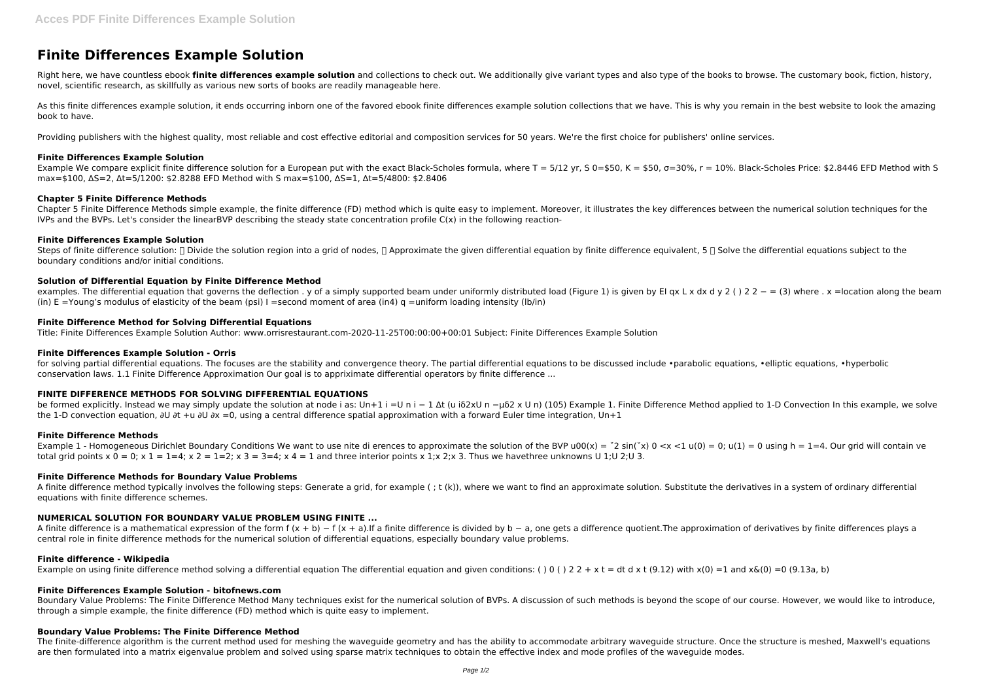# **Finite Differences Example Solution**

Right here, we have countless ebook **finite differences example solution** and collections to check out. We additionally give variant types and also type of the books to browse. The customary book, fiction, history, novel, scientific research, as skillfully as various new sorts of books are readily manageable here.

As this finite differences example solution, it ends occurring inborn one of the favored ebook finite differences example solution collections that we have. This is why you remain in the best website to look the amazing book to have.

Example We compare explicit finite difference solution for a European put with the exact Black-Scholes formula, where T = 5/12 yr, S 0=\$50, K = \$50,  $\sigma$ =30%, r = 10%. Black-Scholes Price: \$2.8446 EFD Method with S max=\$100, ∆S=2, ∆t=5/1200: \$2.8288 EFD Method with S max=\$100, ∆S=1, ∆t=5/4800: \$2.8406

Providing publishers with the highest quality, most reliable and cost effective editorial and composition services for 50 years. We're the first choice for publishers' online services.

# **Finite Differences Example Solution**

Steps of finite difference solution:  $\Box$  Divide the solution region into a grid of nodes,  $\Box$  Approximate the given differential equation by finite difference equivalent, 5  $\Box$  Solve the differential equations subject boundary conditions and/or initial conditions.

## **Chapter 5 Finite Difference Methods**

Chapter 5 Finite Difference Methods simple example, the finite difference (FD) method which is quite easy to implement. Moreover, it illustrates the key differences between the numerical solution techniques for the IVPs and the BVPs. Let's consider the linearBVP describing the steady state concentration profile C(x) in the following reaction-

for solving partial differential equations. The focuses are the stability and convergence theory. The partial differential equations to be discussed include •parabolic equations, •elliptic equations, •hyperbolic conservation laws. 1.1 Finite Difference Approximation Our goal is to appriximate differential operators by finite difference ...

# **Finite Differences Example Solution**

# **Solution of Differential Equation by Finite Difference Method**

examples. The differential equation that governs the deflection . y of a simply supported beam under uniformly distributed load (Figure 1) is given by EI qx L x dx d y 2 ( ) 2 2  $-$  = (3) where . x =location along the bea (in)  $E =$ Young's modulus of elasticity of the beam (psi) I = second moment of area (in4) q = uniform loading intensity (lb/in)

A finite difference method typically involves the following steps: Generate a grid, for example (; t (k)), where we want to find an approximate solution. Substitute the derivatives in a system of ordinary differential equations with finite difference schemes.

A finite difference is a mathematical expression of the form  $f(x + b) - f(x + a)$ . If a finite difference is divided by b – a, one gets a difference quotient. The approximation of derivatives by finite differences plays a central role in finite difference methods for the numerical solution of differential equations, especially boundary value problems.

#### **Finite Difference Method for Solving Differential Equations**

Title: Finite Differences Example Solution Author: www.orrisrestaurant.com-2020-11-25T00:00:00+00:01 Subject: Finite Differences Example Solution

## **Finite Differences Example Solution - Orris**

The finite-difference algorithm is the current method used for meshing the waveguide geometry and has the ability to accommodate arbitrary waveguide structure. Once the structure is meshed, Maxwell's equations are then formulated into a matrix eigenvalue problem and solved using sparse matrix techniques to obtain the effective index and mode profiles of the waveguide modes.

# **FINITE DIFFERENCE METHODS FOR SOLVING DIFFERENTIAL EQUATIONS**

be formed explicitly. Instead we may simply update the solution at node i as: Un+1 i =U n i − 1 ∆t (u iδ2xU n −μδ2 x U n) (105) Example 1. Finite Difference Method applied to 1-D Convection In this example, we solve the 1-D convection equation, ∂U ∂t +u ∂U ∂x =0, using a central difference spatial approximation with a forward Euler time integration, Un+1

#### **Finite Difference Methods**

Example 1 - Homogeneous Dirichlet Boundary Conditions We want to use nite di erences to approximate the solution of the BVP u00(x) =  $2 \sin('x)$  0 <x <1 u(0) = 0; u(1) = 0 using h = 1=4. Our grid will contain ve total grid points  $x = 0$ ;  $x = 1$  = 4;  $x = 1$  = 4;  $x = 3$  = 3 = 4;  $x = 4$  and three interior points x 1; x 2; x 3. Thus we have three unknowns U 1; U 2; U 3.

## **Finite Difference Methods for Boundary Value Problems**

## **NUMERICAL SOLUTION FOR BOUNDARY VALUE PROBLEM USING FINITE ...**

#### **Finite difference - Wikipedia**

Example on using finite difference method solving a differential equation The differential equation and given conditions: () 0 () 2 2 + x t = dt d x t (9.12) with x(0) =1 and x&(0) =0 (9.13a, b)

## **Finite Differences Example Solution - bitofnews.com**

Boundary Value Problems: The Finite Difference Method Many techniques exist for the numerical solution of BVPs. A discussion of such methods is beyond the scope of our course. However, we would like to introduce, through a simple example, the finite difference (FD) method which is quite easy to implement.

## **Boundary Value Problems: The Finite Difference Method**